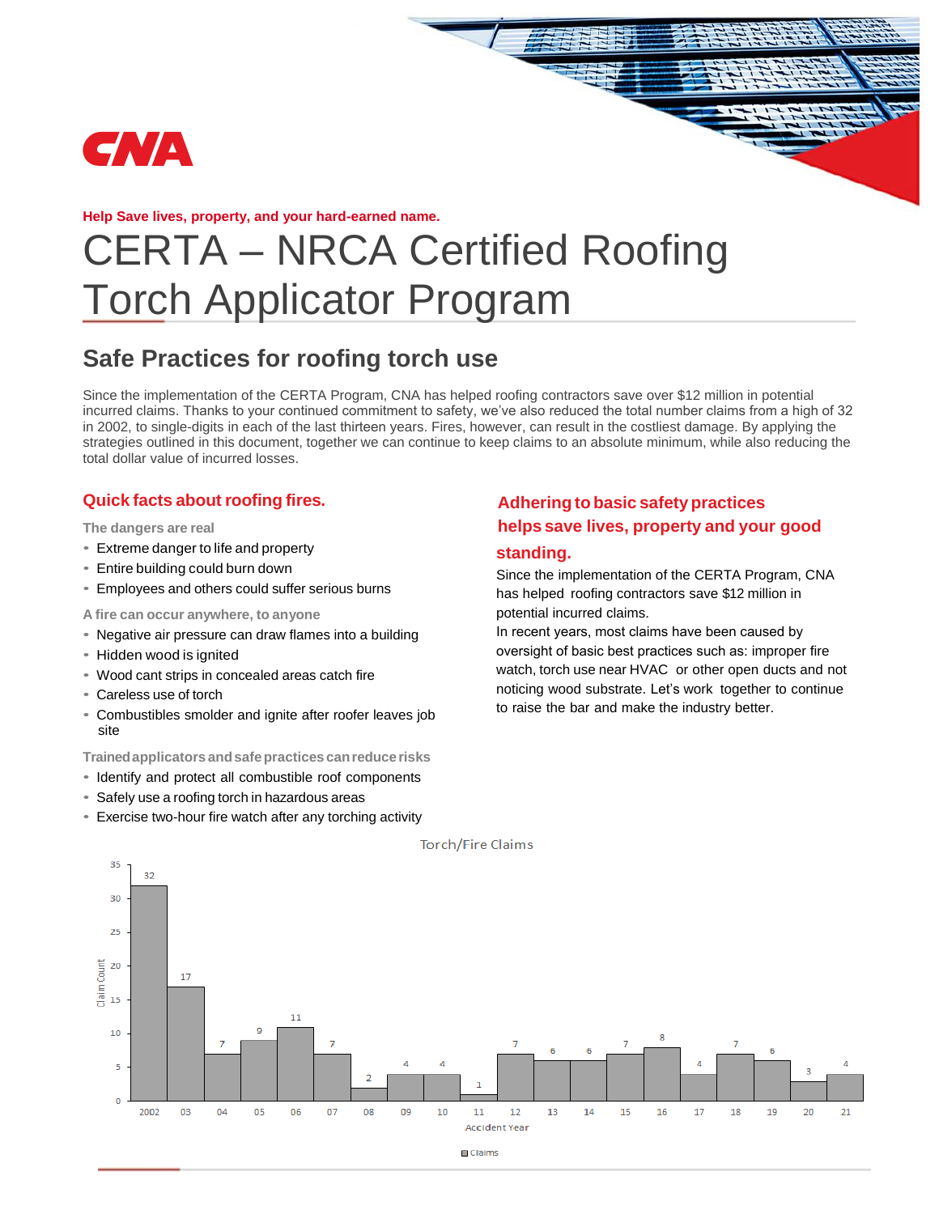

**Help Save lives, property, and your hard-earned name.** 

# CERTA – NRCA Certified Roofing Torch Applicator Program

# **Safe Practices for roofing torch use**

Since the implementation of the CERTA Program, CNA has helped roofing contractors save over \$12 million in potential incurred claims. Thanks to your continued commitment to safety, we've also reduced the total number claims from a high of 32 in 2002, to single-digits in each of the last thirteen years. Fires, however, can result in the costliest damage. By applying the strategies outlined in this document, together we can continue to keep claims to an absolute minimum, while also reducing the total dollar value of incurred losses.

### **Quick facts about roofing fires.**

**The dangers are real**

- Extreme danger to life and property
- Entire building could burn down
- Employees and others could suffer serious burns

**A fire can occur anywhere, to anyone**

- Negative air pressure can draw flames into a building
- Hidden wood is ignited
- Wood cant strips in concealed areas catch fire
- Careless use of torch
- Combustibles smolder and ignite after roofer leaves job site

**Trained applicators and safe practices canreduce risks**

- Identify and protect all combustible roof components
- Safely use a roofing torch in hazardous areas
- Exercise two-hour fire watch after any torching activity

# **Adhering to basic safety practices helps save lives, property and your good**

**standing.**

Since the implementation of the CERTA Program, CNA has helped roofing contractors save \$12 million in potential incurred claims.

In recent years, most claims have been caused by oversight of basic best practices such as: improper fire watch, torch use near HVAC or other open ducts and not noticing wood substrate. Let's work together to continue to raise the bar and make the industry better.



**Torch/Fire Claims**